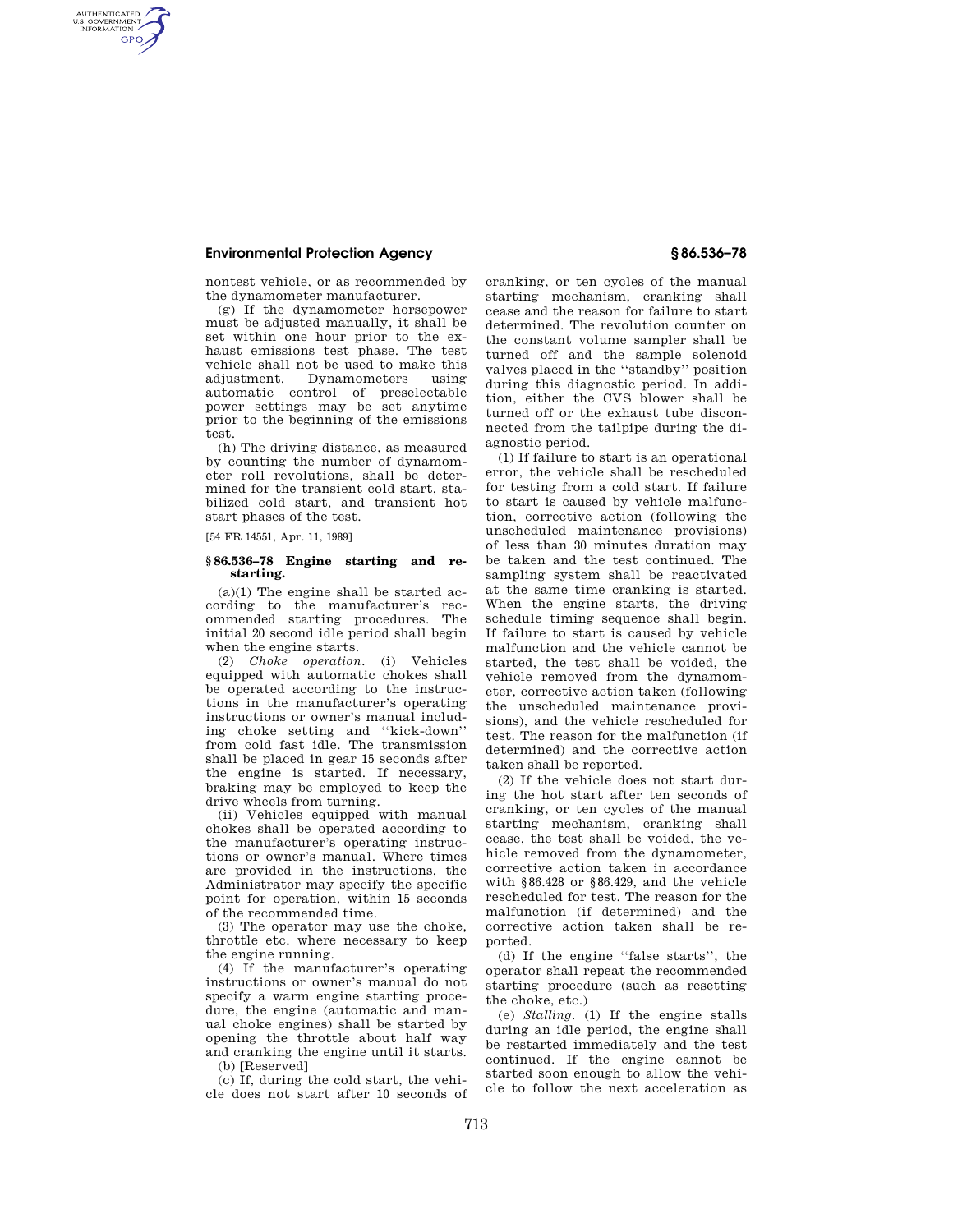## **Environmental Protection Agency § 86.536–78**

AUTHENTICATED<br>U.S. GOVERNMENT<br>INFORMATION **GPO** 

> nontest vehicle, or as recommended by the dynamometer manufacturer.

(g) If the dynamometer horsepower must be adjusted manually, it shall be set within one hour prior to the exhaust emissions test phase. The test vehicle shall not be used to make this<br>adjustment. Dynamometers using adjustment. Dynamometers automatic control of preselectable power settings may be set anytime prior to the beginning of the emissions test.

(h) The driving distance, as measured by counting the number of dynamometer roll revolutions, shall be determined for the transient cold start, stabilized cold start, and transient hot start phases of the test.

[54 FR 14551, Apr. 11, 1989]

## **§ 86.536–78 Engine starting and restarting.**

 $(a)(1)$  The engine shall be started according to the manufacturer's recommended starting procedures. The initial 20 second idle period shall begin when the engine starts.

(2) *Choke operation.* (i) Vehicles equipped with automatic chokes shall be operated according to the instructions in the manufacturer's operating instructions or owner's manual including choke setting and ''kick-down'' from cold fast idle. The transmission shall be placed in gear 15 seconds after the engine is started. If necessary, braking may be employed to keep the drive wheels from turning.

(ii) Vehicles equipped with manual chokes shall be operated according to the manufacturer's operating instructions or owner's manual. Where times are provided in the instructions, the Administrator may specify the specific point for operation, within 15 seconds of the recommended time.

(3) The operator may use the choke, throttle etc. where necessary to keep the engine running.

(4) If the manufacturer's operating instructions or owner's manual do not specify a warm engine starting procedure, the engine (automatic and manual choke engines) shall be started by opening the throttle about half way and cranking the engine until it starts. (b) [Reserved]

(c) If, during the cold start, the vehicle does not start after 10 seconds of cranking, or ten cycles of the manual starting mechanism, cranking shall cease and the reason for failure to start determined. The revolution counter on the constant volume sampler shall be turned off and the sample solenoid valves placed in the ''standby'' position during this diagnostic period. In addition, either the CVS blower shall be turned off or the exhaust tube disconnected from the tailpipe during the diagnostic period.

(1) If failure to start is an operational error, the vehicle shall be rescheduled for testing from a cold start. If failure to start is caused by vehicle malfunction, corrective action (following the unscheduled maintenance provisions) of less than 30 minutes duration may be taken and the test continued. The sampling system shall be reactivated at the same time cranking is started. When the engine starts, the driving schedule timing sequence shall begin. If failure to start is caused by vehicle malfunction and the vehicle cannot be started, the test shall be voided, the vehicle removed from the dynamometer, corrective action taken (following the unscheduled maintenance provisions), and the vehicle rescheduled for test. The reason for the malfunction (if determined) and the corrective action taken shall be reported.

(2) If the vehicle does not start during the hot start after ten seconds of cranking, or ten cycles of the manual starting mechanism, cranking shall cease, the test shall be voided, the vehicle removed from the dynamometer, corrective action taken in accordance with §86.428 or §86.429, and the vehicle rescheduled for test. The reason for the malfunction (if determined) and the corrective action taken shall be reported.

(d) If the engine ''false starts'', the operator shall repeat the recommended starting procedure (such as resetting the choke, etc.)

(e) *Stalling.* (1) If the engine stalls during an idle period, the engine shall be restarted immediately and the test continued. If the engine cannot be started soon enough to allow the vehicle to follow the next acceleration as